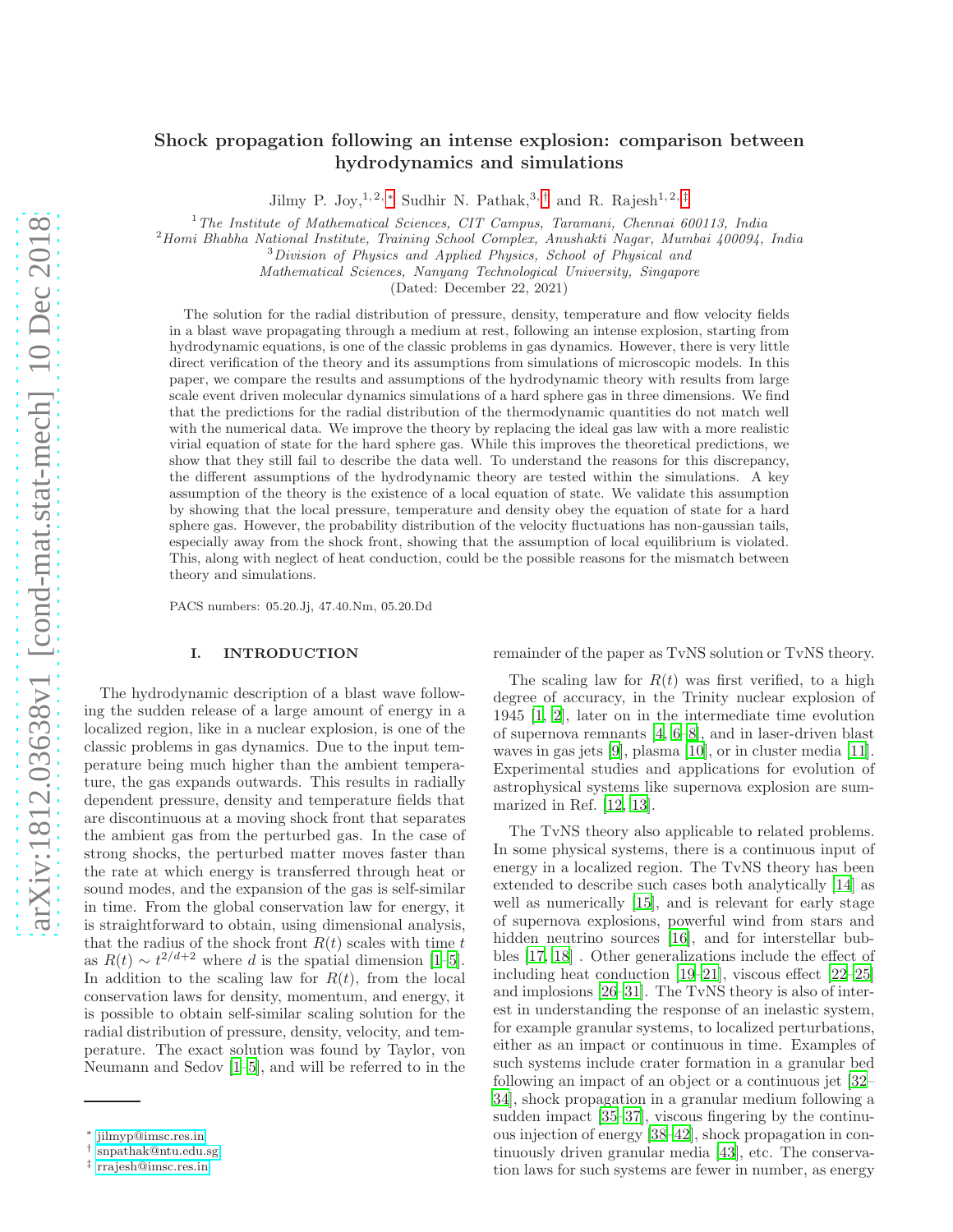# Shock propagation following an intense explosion: comparison between hydrodynamics and simulations

Jilmy P. Joy, <sup>1, 2, \*</sup> Sudhir N. Pathak,<sup>3,[†](#page-0-1)</sup> and R. Rajesh<sup>1, 2,[‡](#page-0-2)</sup>

 $1$ <sup>1</sup>The Institute of Mathematical Sciences, CIT Campus, Taramani, Chennai 600113, India

<sup>2</sup>Homi Bhabha National Institute, Training School Complex, Anushakti Nagar, Mumbai 400094, India

<sup>3</sup>Division of Physics and Applied Physics, School of Physical and

Mathematical Sciences, Nanyang Technological University, Singapore

(Dated: December 22, 2021)

The solution for the radial distribution of pressure, density, temperature and flow velocity fields in a blast wave propagating through a medium at rest, following an intense explosion, starting from hydrodynamic equations, is one of the classic problems in gas dynamics. However, there is very little direct verification of the theory and its assumptions from simulations of microscopic models. In this paper, we compare the results and assumptions of the hydrodynamic theory with results from large scale event driven molecular dynamics simulations of a hard sphere gas in three dimensions. We find that the predictions for the radial distribution of the thermodynamic quantities do not match well with the numerical data. We improve the theory by replacing the ideal gas law with a more realistic virial equation of state for the hard sphere gas. While this improves the theoretical predictions, we show that they still fail to describe the data well. To understand the reasons for this discrepancy, the different assumptions of the hydrodynamic theory are tested within the simulations. A key assumption of the theory is the existence of a local equation of state. We validate this assumption by showing that the local pressure, temperature and density obey the equation of state for a hard sphere gas. However, the probability distribution of the velocity fluctuations has non-gaussian tails, especially away from the shock front, showing that the assumption of local equilibrium is violated. This, along with neglect of heat conduction, could be the possible reasons for the mismatch between theory and simulations.

PACS numbers: 05.20.Jj, 47.40.Nm, 05.20.Dd

### I. INTRODUCTION

The hydrodynamic description of a blast wave following the sudden release of a large amount of energy in a localized region, like in a nuclear explosion, is one of the classic problems in gas dynamics. Due to the input temperature being much higher than the ambient temperature, the gas expands outwards. This results in radially dependent pressure, density and temperature fields that are discontinuous at a moving shock front that separates the ambient gas from the perturbed gas. In the case of strong shocks, the perturbed matter moves faster than the rate at which energy is transferred through heat or sound modes, and the expansion of the gas is self-similar in time. From the global conservation law for energy, it is straightforward to obtain, using dimensional analysis, that the radius of the shock front  $R(t)$  scales with time t as  $R(t) \sim t^{2/d+2}$  where d is the spatial dimension [\[1](#page-10-0)[–5\]](#page-10-1). In addition to the scaling law for  $R(t)$ , from the local conservation laws for density, momentum, and energy, it is possible to obtain self-similar scaling solution for the radial distribution of pressure, density, velocity, and temperature. The exact solution was found by Taylor, von Neumann and Sedov [\[1](#page-10-0)[–5\]](#page-10-1), and will be referred to in the

remainder of the paper as TvNS solution or TvNS theory.

The scaling law for  $R(t)$  was first verified, to a high degree of accuracy, in the Trinity nuclear explosion of 1945 [\[1,](#page-10-0) [2\]](#page-10-2), later on in the intermediate time evolution of supernova remnants [\[4](#page-10-3), [6](#page-10-4)[–8\]](#page-10-5), and in laser-driven blast waves in gas jets [\[9](#page-10-6)], plasma [\[10\]](#page-10-7), or in cluster media [\[11\]](#page-10-8). Experimental studies and applications for evolution of astrophysical systems like supernova explosion are summarized in Ref. [\[12,](#page-10-9) [13\]](#page-10-10).

The TvNS theory also applicable to related problems. In some physical systems, there is a continuous input of energy in a localized region. The TvNS theory has been extended to describe such cases both analytically [\[14](#page-10-11)] as well as numerically [\[15\]](#page-11-0), and is relevant for early stage of supernova explosions, powerful wind from stars and hidden neutrino sources [\[16\]](#page-11-1), and for interstellar bubbles [\[17,](#page-11-2) [18\]](#page-11-3) . Other generalizations include the effect of including heat conduction [\[19](#page-11-4)[–21\]](#page-11-5), viscous effect [\[22](#page-11-6)[–25\]](#page-11-7) and implosions [\[26–](#page-11-8)[31\]](#page-11-9). The TvNS theory is also of interest in understanding the response of an inelastic system, for example granular systems, to localized perturbations, either as an impact or continuous in time. Examples of such systems include crater formation in a granular bed following an impact of an object or a continuous jet [\[32](#page-11-10)– [34](#page-11-11)], shock propagation in a granular medium following a sudden impact [\[35](#page-11-12)[–37\]](#page-11-13), viscous fingering by the continuous injection of energy [\[38](#page-11-14)[–42\]](#page-11-15), shock propagation in continuously driven granular media [\[43\]](#page-11-16), etc. The conservation laws for such systems are fewer in number, as energy

<span id="page-0-0"></span><sup>∗</sup> [jilmyp@imsc.res.in](mailto:jilmyp@imsc.res.in)

<span id="page-0-1"></span><sup>†</sup> [snpathak@ntu.edu.sg](mailto:snpathak@ntu.edu.sg)

<span id="page-0-2"></span><sup>‡</sup> [rrajesh@imsc.res.in](mailto:rrajesh@imsc.res.in)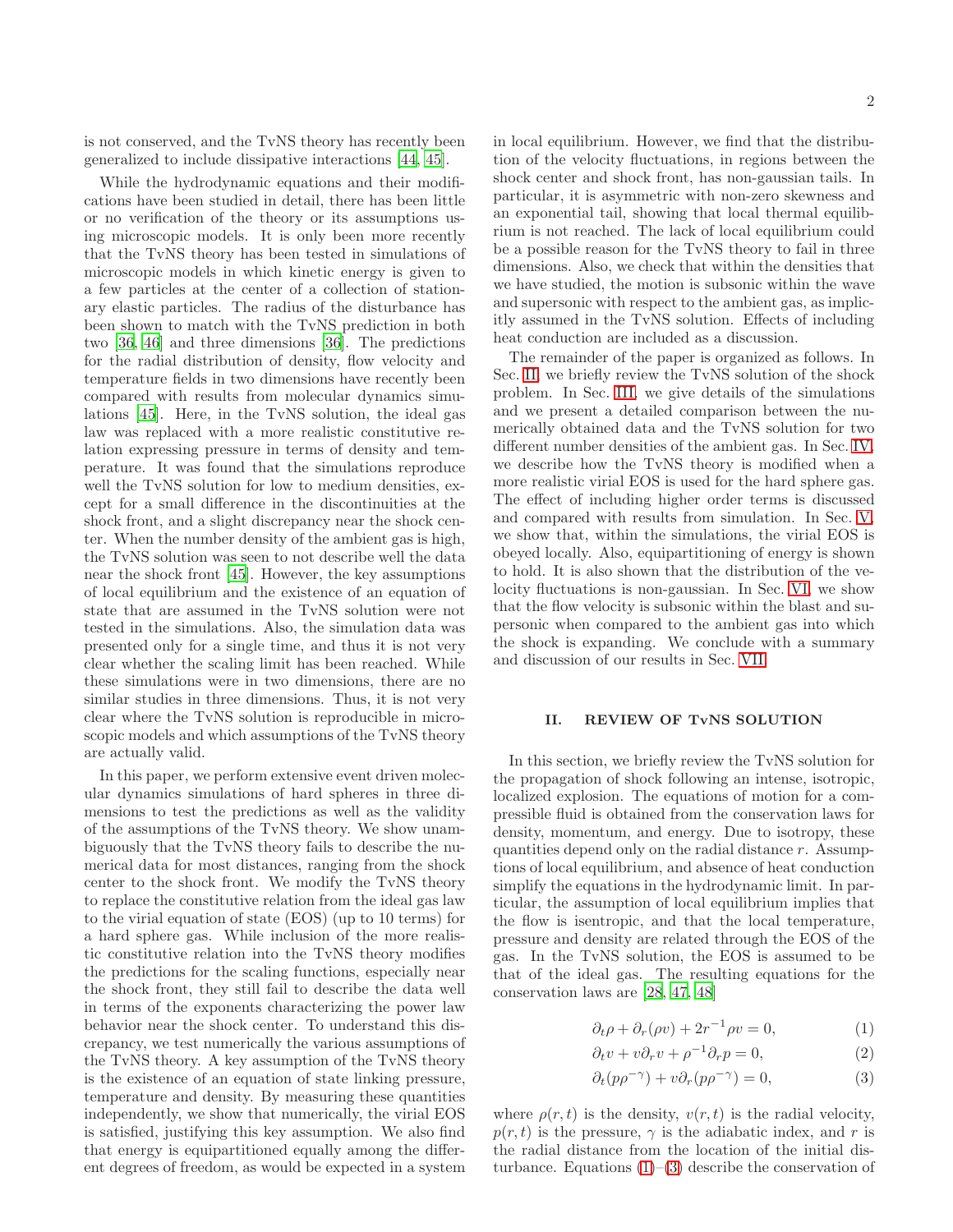is not conserved, and the TvNS theory has recently been generalized to include dissipative interactions [\[44,](#page-11-17) [45\]](#page-11-18).

While the hydrodynamic equations and their modifications have been studied in detail, there has been little or no verification of the theory or its assumptions using microscopic models. It is only been more recently that the TvNS theory has been tested in simulations of microscopic models in which kinetic energy is given to a few particles at the center of a collection of stationary elastic particles. The radius of the disturbance has been shown to match with the TvNS prediction in both two [\[36](#page-11-19), [46\]](#page-11-20) and three dimensions [\[36](#page-11-19)]. The predictions for the radial distribution of density, flow velocity and temperature fields in two dimensions have recently been compared with results from molecular dynamics simulations [\[45\]](#page-11-18). Here, in the TvNS solution, the ideal gas law was replaced with a more realistic constitutive relation expressing pressure in terms of density and temperature. It was found that the simulations reproduce well the TvNS solution for low to medium densities, except for a small difference in the discontinuities at the shock front, and a slight discrepancy near the shock center. When the number density of the ambient gas is high, the TvNS solution was seen to not describe well the data near the shock front [\[45\]](#page-11-18). However, the key assumptions of local equilibrium and the existence of an equation of state that are assumed in the TvNS solution were not tested in the simulations. Also, the simulation data was presented only for a single time, and thus it is not very clear whether the scaling limit has been reached. While these simulations were in two dimensions, there are no similar studies in three dimensions. Thus, it is not very clear where the TvNS solution is reproducible in microscopic models and which assumptions of the TvNS theory are actually valid.

In this paper, we perform extensive event driven molecular dynamics simulations of hard spheres in three dimensions to test the predictions as well as the validity of the assumptions of the TvNS theory. We show unambiguously that the TvNS theory fails to describe the numerical data for most distances, ranging from the shock center to the shock front. We modify the TvNS theory to replace the constitutive relation from the ideal gas law to the virial equation of state (EOS) (up to 10 terms) for a hard sphere gas. While inclusion of the more realistic constitutive relation into the TvNS theory modifies the predictions for the scaling functions, especially near the shock front, they still fail to describe the data well in terms of the exponents characterizing the power law behavior near the shock center. To understand this discrepancy, we test numerically the various assumptions of the TvNS theory. A key assumption of the TvNS theory is the existence of an equation of state linking pressure, temperature and density. By measuring these quantities independently, we show that numerically, the virial EOS is satisfied, justifying this key assumption. We also find that energy is equipartitioned equally among the different degrees of freedom, as would be expected in a system in local equilibrium. However, we find that the distribution of the velocity fluctuations, in regions between the shock center and shock front, has non-gaussian tails. In particular, it is asymmetric with non-zero skewness and an exponential tail, showing that local thermal equilibrium is not reached. The lack of local equilibrium could be a possible reason for the TvNS theory to fail in three dimensions. Also, we check that within the densities that we have studied, the motion is subsonic within the wave and supersonic with respect to the ambient gas, as implicitly assumed in the TvNS solution. Effects of including heat conduction are included as a discussion.

The remainder of the paper is organized as follows. In Sec. [II,](#page-1-0) we briefly review the TvNS solution of the shock problem. In Sec. [III,](#page-2-0) we give details of the simulations and we present a detailed comparison between the numerically obtained data and the TvNS solution for two different number densities of the ambient gas. In Sec. [IV,](#page-4-0) we describe how the TvNS theory is modified when a more realistic virial EOS is used for the hard sphere gas. The effect of including higher order terms is discussed and compared with results from simulation. In Sec. [V,](#page-7-0) we show that, within the simulations, the virial EOS is obeyed locally. Also, equipartitioning of energy is shown to hold. It is also shown that the distribution of the velocity fluctuations is non-gaussian. In Sec. [VI,](#page-8-0) we show that the flow velocity is subsonic within the blast and supersonic when compared to the ambient gas into which the shock is expanding. We conclude with a summary and discussion of our results in Sec. [VII.](#page-9-0)

# <span id="page-1-0"></span>II. REVIEW OF TvNS SOLUTION

In this section, we briefly review the TvNS solution for the propagation of shock following an intense, isotropic, localized explosion. The equations of motion for a compressible fluid is obtained from the conservation laws for density, momentum, and energy. Due to isotropy, these quantities depend only on the radial distance r. Assumptions of local equilibrium, and absence of heat conduction simplify the equations in the hydrodynamic limit. In particular, the assumption of local equilibrium implies that the flow is isentropic, and that the local temperature, pressure and density are related through the EOS of the gas. In the TvNS solution, the EOS is assumed to be that of the ideal gas. The resulting equations for the conservation laws are [\[28,](#page-11-21) [47,](#page-11-22) [48\]](#page-11-23)

$$
\partial_t \rho + \partial_r (\rho v) + 2r^{-1} \rho v = 0, \tag{1}
$$

$$
\partial_t v + v \partial_r v + \rho^{-1} \partial_r p = 0,\tag{2}
$$

<span id="page-1-3"></span><span id="page-1-2"></span><span id="page-1-1"></span>
$$
\partial_t (p\rho^{-\gamma}) + v \partial_r (p\rho^{-\gamma}) = 0, \tag{3}
$$

where  $\rho(r, t)$  is the density,  $v(r, t)$  is the radial velocity,  $p(r, t)$  is the pressure,  $\gamma$  is the adiabatic index, and r is the radial distance from the location of the initial disturbance. Equations  $(1)$ – $(3)$  describe the conservation of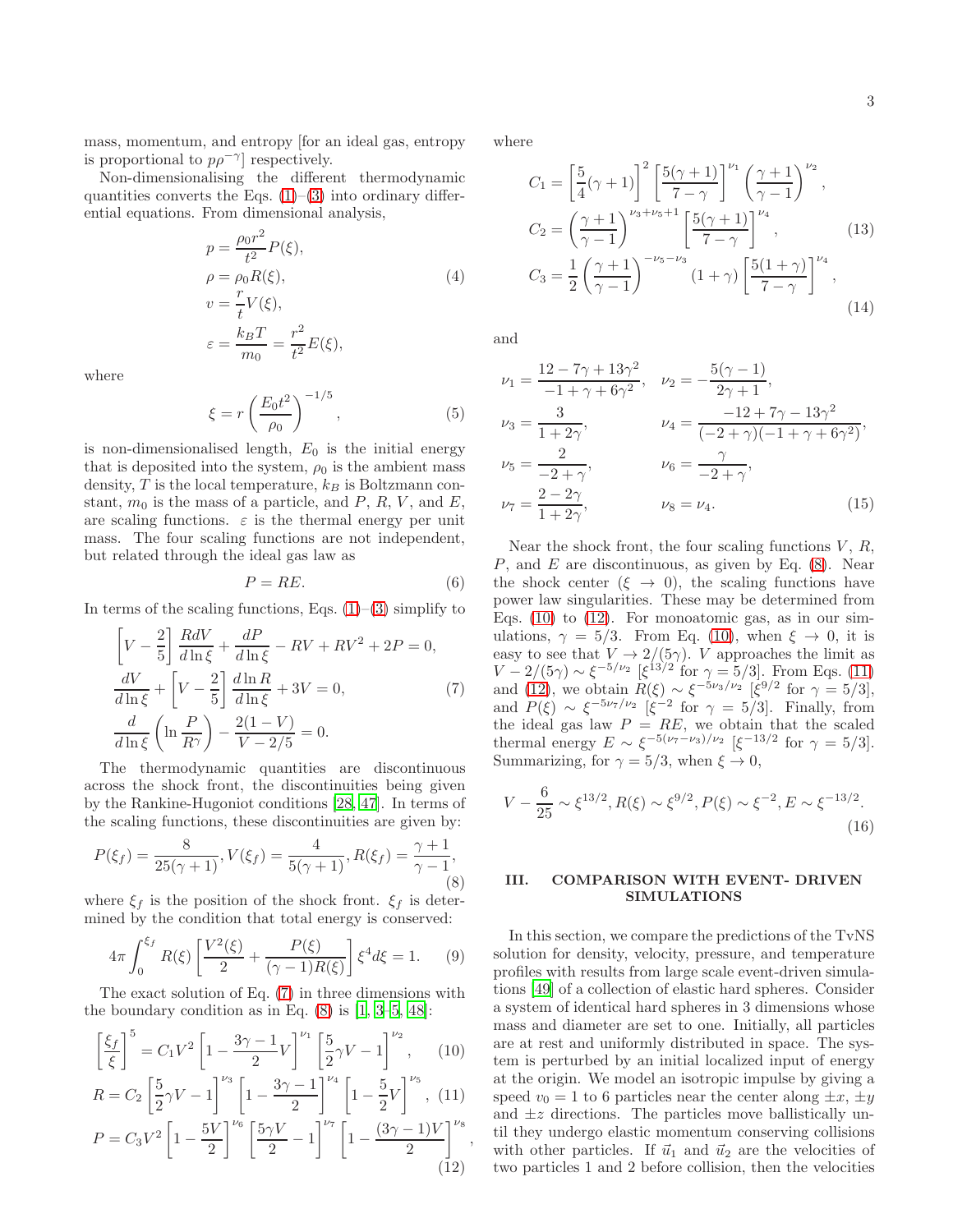mass, momentum, and entropy [for an ideal gas, entropy is proportional to  $p\rho^{-\gamma}$  respectively.

Non-dimensionalising the different thermodynamic quantities converts the Eqs.  $(1)$ – $(3)$  into ordinary differential equations. From dimensional analysis,

<span id="page-2-7"></span>
$$
p = \frac{\rho_0 r^2}{t^2} P(\xi),
$$
  
\n
$$
\rho = \rho_0 R(\xi),
$$
  
\n
$$
v = \frac{r}{t} V(\xi),
$$
  
\n
$$
\varepsilon = \frac{k_B T}{m_0} = \frac{r^2}{t^2} E(\xi),
$$
\n(4)

where

$$
\xi = r \left(\frac{E_0 t^2}{\rho_0}\right)^{-1/5},\tag{5}
$$

is non-dimensionalised length,  $E_0$  is the initial energy that is deposited into the system,  $\rho_0$  is the ambient mass density,  $T$  is the local temperature,  $k_B$  is Boltzmann constant,  $m_0$  is the mass of a particle, and P, R, V, and E, are scaling functions.  $\varepsilon$  is the thermal energy per unit mass. The four scaling functions are not independent, but related through the ideal gas law as

<span id="page-2-8"></span>
$$
P = RE.\t\t(6)
$$

In terms of the scaling functions, Eqs.  $(1)$ – $(3)$  simplify to

$$
\left[V - \frac{2}{5}\right] \frac{RdV}{d\ln\xi} + \frac{dP}{d\ln\xi} - RV + RV^2 + 2P = 0,
$$
  

$$
\frac{dV}{d\ln\xi} + \left[V - \frac{2}{5}\right] \frac{d\ln R}{d\ln\xi} + 3V = 0,
$$
  

$$
\frac{d}{d\ln\xi} \left(\ln\frac{P}{R^{\gamma}}\right) - \frac{2(1-V)}{V - 2/5} = 0.
$$
 (7)

The thermodynamic quantities are discontinuous across the shock front, the discontinuities being given by the Rankine-Hugoniot conditions [\[28](#page-11-21), [47\]](#page-11-22). In terms of the scaling functions, these discontinuities are given by:

<span id="page-2-2"></span>
$$
P(\xi_f) = \frac{8}{25(\gamma + 1)}, V(\xi_f) = \frac{4}{5(\gamma + 1)}, R(\xi_f) = \frac{\gamma + 1}{\gamma - 1},
$$
\n(8)

where  $\xi_f$  is the position of the shock front.  $\xi_f$  is determined by the condition that total energy is conserved:

<span id="page-2-9"></span>
$$
4\pi \int_0^{\xi_f} R(\xi) \left[ \frac{V^2(\xi)}{2} + \frac{P(\xi)}{(\gamma - 1)R(\xi)} \right] \xi^4 d\xi = 1. \tag{9}
$$

The exact solution of Eq. [\(7\)](#page-2-1) in three dimensions with the boundary condition as in Eq.  $(8)$  is  $[1, 3-5, 48]$  $[1, 3-5, 48]$  $[1, 3-5, 48]$  $[1, 3-5, 48]$ :

$$
\left[\frac{\xi_f}{\xi}\right]^5 = C_1 V^2 \left[1 - \frac{3\gamma - 1}{2} V\right]^{\nu_1} \left[\frac{5}{2} \gamma V - 1\right]^{\nu_2},\qquad(10)
$$

$$
R = C_2 \left[ \frac{5}{2} \gamma V - 1 \right]^{\nu_3} \left[ 1 - \frac{3\gamma - 1}{2} \right]^{\nu_4} \left[ 1 - \frac{5}{2} V \right]^{\nu_5}, (11)
$$

$$
P = C_3 V^2 \left[ 1 - \frac{5V}{2} \right]^{\nu_6} \left[ \frac{5\gamma V}{2} - 1 \right]^{\nu_7} \left[ 1 - \frac{(3\gamma - 1)V}{2} \right]^{\nu_8} \tag{12}
$$

<span id="page-2-5"></span><span id="page-2-4"></span><span id="page-2-3"></span>,

where

$$
C_{1} = \left[\frac{5}{4}(\gamma + 1)\right]^{2} \left[\frac{5(\gamma + 1)}{7 - \gamma}\right]^{\nu_{1}} \left(\frac{\gamma + 1}{\gamma - 1}\right)^{\nu_{2}},
$$
  
\n
$$
C_{2} = \left(\frac{\gamma + 1}{\gamma - 1}\right)^{\nu_{3} + \nu_{5} + 1} \left[\frac{5(\gamma + 1)}{7 - \gamma}\right]^{\nu_{4}},
$$
\n
$$
C_{3} = \frac{1}{2} \left(\frac{\gamma + 1}{\gamma - 1}\right)^{-\nu_{5} - \nu_{3}} (1 + \gamma) \left[\frac{5(1 + \gamma)}{7 - \gamma}\right]^{\nu_{4}},
$$
\n
$$
(14)
$$

and

$$
\nu_1 = \frac{12 - 7\gamma + 13\gamma^2}{-1 + \gamma + 6\gamma^2}, \quad \nu_2 = -\frac{5(\gamma - 1)}{2\gamma + 1},
$$
  
\n
$$
\nu_3 = \frac{3}{1 + 2\gamma}, \qquad \nu_4 = \frac{-12 + 7\gamma - 13\gamma^2}{(-2 + \gamma)(-1 + \gamma + 6\gamma^2)},
$$
  
\n
$$
\nu_5 = \frac{2}{-2 + \gamma}, \qquad \nu_6 = \frac{\gamma}{-2 + \gamma},
$$
  
\n
$$
\nu_7 = \frac{2 - 2\gamma}{1 + 2\gamma}, \qquad \nu_8 = \nu_4.
$$
  
\n(15)

Near the shock front, the four scaling functions  $V, R$ ,  $P$ , and  $E$  are discontinuous, as given by Eq. [\(8\)](#page-2-2). Near the shock center  $(\xi \rightarrow 0)$ , the scaling functions have power law singularities. These may be determined from Eqs.  $(10)$  to  $(12)$ . For monoatomic gas, as in our simulations,  $\gamma = 5/3$ . From Eq. [\(10\)](#page-2-3), when  $\xi \to 0$ , it is easy to see that  $V \to 2/(\mathcal{5}\gamma)$ . V approaches the limit as  $V - 2/(5\gamma) \sim \xi^{-5/\nu_2}$  [ $\xi^{13/2}$  for  $\gamma = 5/3$ ]. From Eqs. [\(11\)](#page-2-5) and [\(12\)](#page-2-4), we obtain  $R(\xi) \sim \xi^{-5\nu_3/\nu_2}$  [ξ<sup>9/2</sup> for  $\gamma = 5/3$ ], and  $P(\xi) \sim \xi^{-5\nu_7/\nu_2}$  [ $\xi^{-2}$  for  $\gamma = 5/3$ ]. Finally, from the ideal gas law  $P = RE$ , we obtain that the scaled thermal energy  $E \sim \xi^{-5(\nu_7-\nu_3)/\nu_2}$  [ $\xi^{-13/2}$  for  $\gamma = 5/3$ ]. Summarizing, for  $\gamma = 5/3$ , when  $\xi \to 0$ ,

<span id="page-2-6"></span><span id="page-2-1"></span>
$$
V - \frac{6}{25} \sim \xi^{13/2}, R(\xi) \sim \xi^{9/2}, P(\xi) \sim \xi^{-2}, E \sim \xi^{-13/2}.
$$
\n(16)

# <span id="page-2-0"></span>III. COMPARISON WITH EVENT- DRIVEN SIMULATIONS

In this section, we compare the predictions of the TvNS solution for density, velocity, pressure, and temperature profiles with results from large scale event-driven simulations [\[49\]](#page-11-24) of a collection of elastic hard spheres. Consider a system of identical hard spheres in 3 dimensions whose mass and diameter are set to one. Initially, all particles are at rest and uniformly distributed in space. The system is perturbed by an initial localized input of energy at the origin. We model an isotropic impulse by giving a speed  $v_0 = 1$  to 6 particles near the center along  $\pm x, \pm y$ and  $\pm z$  directions. The particles move ballistically until they undergo elastic momentum conserving collisions with other particles. If  $\vec{u}_1$  and  $\vec{u}_2$  are the velocities of two particles 1 and 2 before collision, then the velocities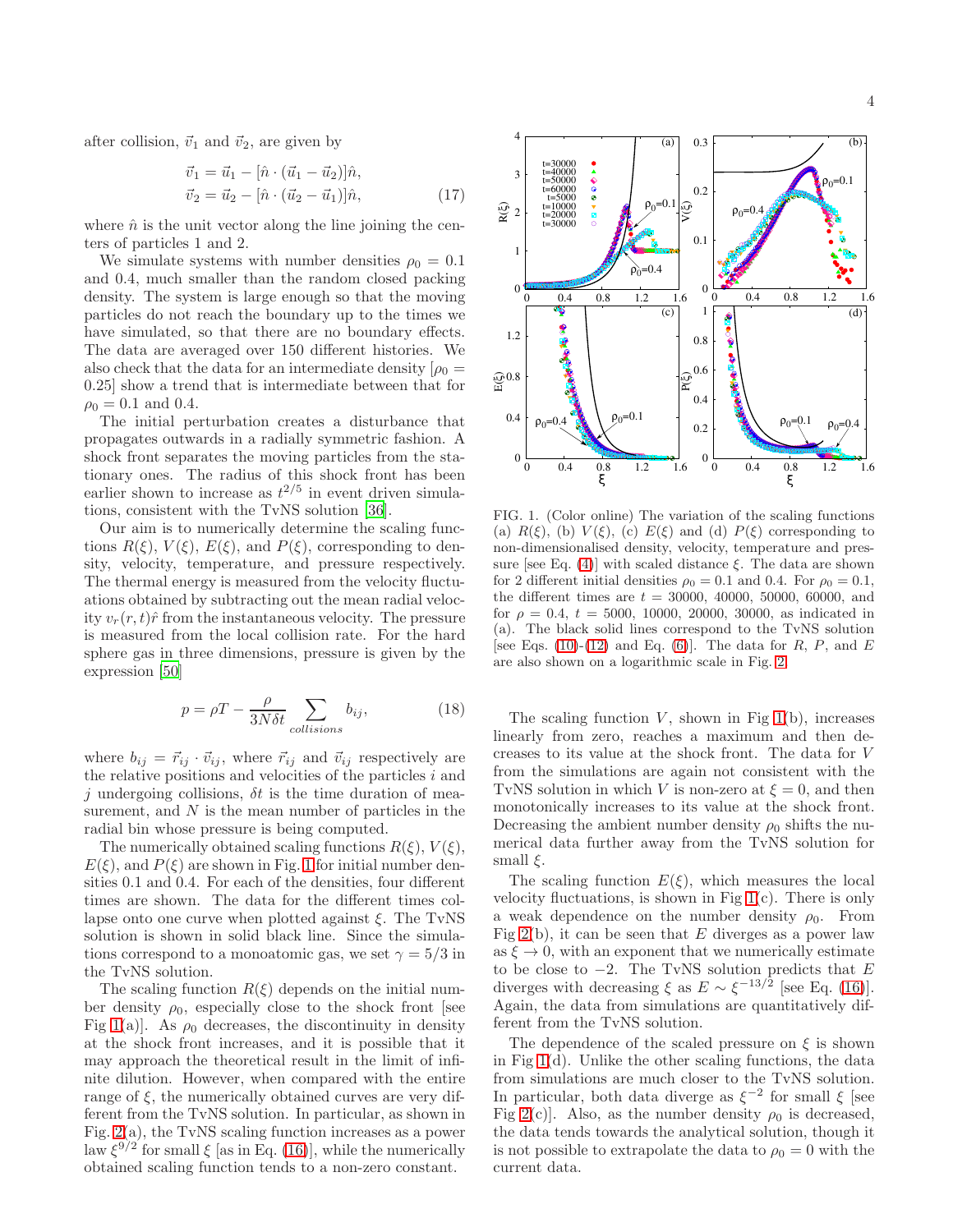after collision,  $\vec{v}_1$  and  $\vec{v}_2$ , are given by

$$
\vec{v}_1 = \vec{u}_1 - [\hat{n} \cdot (\vec{u}_1 - \vec{u}_2)]\hat{n}, \n\vec{v}_2 = \vec{u}_2 - [\hat{n} \cdot (\vec{u}_2 - \vec{u}_1)]\hat{n},
$$
\n(17)

where  $\hat{n}$  is the unit vector along the line joining the centers of particles 1 and 2.

We simulate systems with number densities  $\rho_0 = 0.1$ and 0.4, much smaller than the random closed packing density. The system is large enough so that the moving particles do not reach the boundary up to the times we have simulated, so that there are no boundary effects. The data are averaged over 150 different histories. We also check that the data for an intermediate density  $\rho_0 =$ 0.25] show a trend that is intermediate between that for  $\rho_0 = 0.1$  and 0.4.

The initial perturbation creates a disturbance that propagates outwards in a radially symmetric fashion. A shock front separates the moving particles from the stationary ones. The radius of this shock front has been earlier shown to increase as  $t^{2/5}$  in event driven simulations, consistent with the TvNS solution [\[36\]](#page-11-19).

Our aim is to numerically determine the scaling functions  $R(\xi)$ ,  $V(\xi)$ ,  $E(\xi)$ , and  $P(\xi)$ , corresponding to density, velocity, temperature, and pressure respectively. The thermal energy is measured from the velocity fluctuations obtained by subtracting out the mean radial velocity  $v_r(r, t)\hat{r}$  from the instantaneous velocity. The pressure is measured from the local collision rate. For the hard sphere gas in three dimensions, pressure is given by the expression [\[50\]](#page-11-25)

$$
p = \rho T - \frac{\rho}{3N\delta t} \sum_{collisions} b_{ij},
$$
 (18)

where  $b_{ij} = \vec{r}_{ij} \cdot \vec{v}_{ij}$ , where  $\vec{r}_{ij}$  and  $\vec{v}_{ij}$  respectively are the relative positions and velocities of the particles  $i$  and j undergoing collisions,  $\delta t$  is the time duration of measurement, and  $N$  is the mean number of particles in the radial bin whose pressure is being computed.

The numerically obtained scaling functions  $R(\xi)$ ,  $V(\xi)$ ,  $E(\xi)$ , and  $P(\xi)$  are shown in Fig. [1](#page-3-0) for initial number densities 0.1 and 0.4. For each of the densities, four different times are shown. The data for the different times collapse onto one curve when plotted against  $\xi$ . The TvNS solution is shown in solid black line. Since the simulations correspond to a monoatomic gas, we set  $\gamma = 5/3$  in the TvNS solution.

The scaling function  $R(\xi)$  depends on the initial number density  $\rho_0$ , especially close to the shock front [see Fig [1\(](#page-3-0)a)]. As  $\rho_0$  decreases, the discontinuity in density at the shock front increases, and it is possible that it may approach the theoretical result in the limit of infinite dilution. However, when compared with the entire range of  $\xi$ , the numerically obtained curves are very different from the TvNS solution. In particular, as shown in Fig. [2\(](#page-4-1)a), the TvNS scaling function increases as a power law  $\xi^{9/2}$  for small  $\xi$  [as in Eq. [\(16\)](#page-2-6)], while the numerically obtained scaling function tends to a non-zero constant.



<span id="page-3-0"></span>FIG. 1. (Color online) The variation of the scaling functions (a)  $R(\xi)$ , (b)  $V(\xi)$ , (c)  $E(\xi)$  and (d)  $P(\xi)$  corresponding to non-dimensionalised density, velocity, temperature and pres-sure [see Eq. [\(4\)](#page-2-7)] with scaled distance  $\xi$ . The data are shown for 2 different initial densities  $\rho_0 = 0.1$  and 0.4. For  $\rho_0 = 0.1$ , the different times are  $t = 30000, 40000, 50000, 60000,$  and for  $\rho = 0.4$ ,  $t = 5000$ , 10000, 20000, 30000, as indicated in (a). The black solid lines correspond to the TvNS solution [see Eqs. [\(10\)](#page-2-3)-[\(12\)](#page-2-4) and Eq. [\(6\)](#page-2-8)]. The data for R, P, and E are also shown on a logarithmic scale in Fig. [2.](#page-4-1)

The scaling function  $V$ , shown in Fig [1\(](#page-3-0)b), increases linearly from zero, reaches a maximum and then decreases to its value at the shock front. The data for V from the simulations are again not consistent with the TvNS solution in which V is non-zero at  $\xi = 0$ , and then monotonically increases to its value at the shock front. Decreasing the ambient number density  $\rho_0$  shifts the numerical data further away from the TvNS solution for small  $\xi$ .

The scaling function  $E(\xi)$ , which measures the local velocity fluctuations, is shown in Fig  $1(c)$ . There is only a weak dependence on the number density  $\rho_0$ . From Fig [2\(](#page-4-1)b), it can be seen that E diverges as a power law as  $\xi \to 0$ , with an exponent that we numerically estimate to be close to  $-2$ . The TvNS solution predicts that E diverges with decreasing  $\xi$  as  $E \sim \xi^{-13/2}$  [see Eq. [\(16\)](#page-2-6)]. Again, the data from simulations are quantitatively different from the TvNS solution.

The dependence of the scaled pressure on  $\xi$  is shown in Fig  $1(d)$ . Unlike the other scaling functions, the data from simulations are much closer to the TvNS solution. In particular, both data diverge as  $\xi^{-2}$  for small  $\xi$  [see Fig [2\(](#page-4-1)c)]. Also, as the number density  $\rho_0$  is decreased, the data tends towards the analytical solution, though it is not possible to extrapolate the data to  $\rho_0 = 0$  with the current data.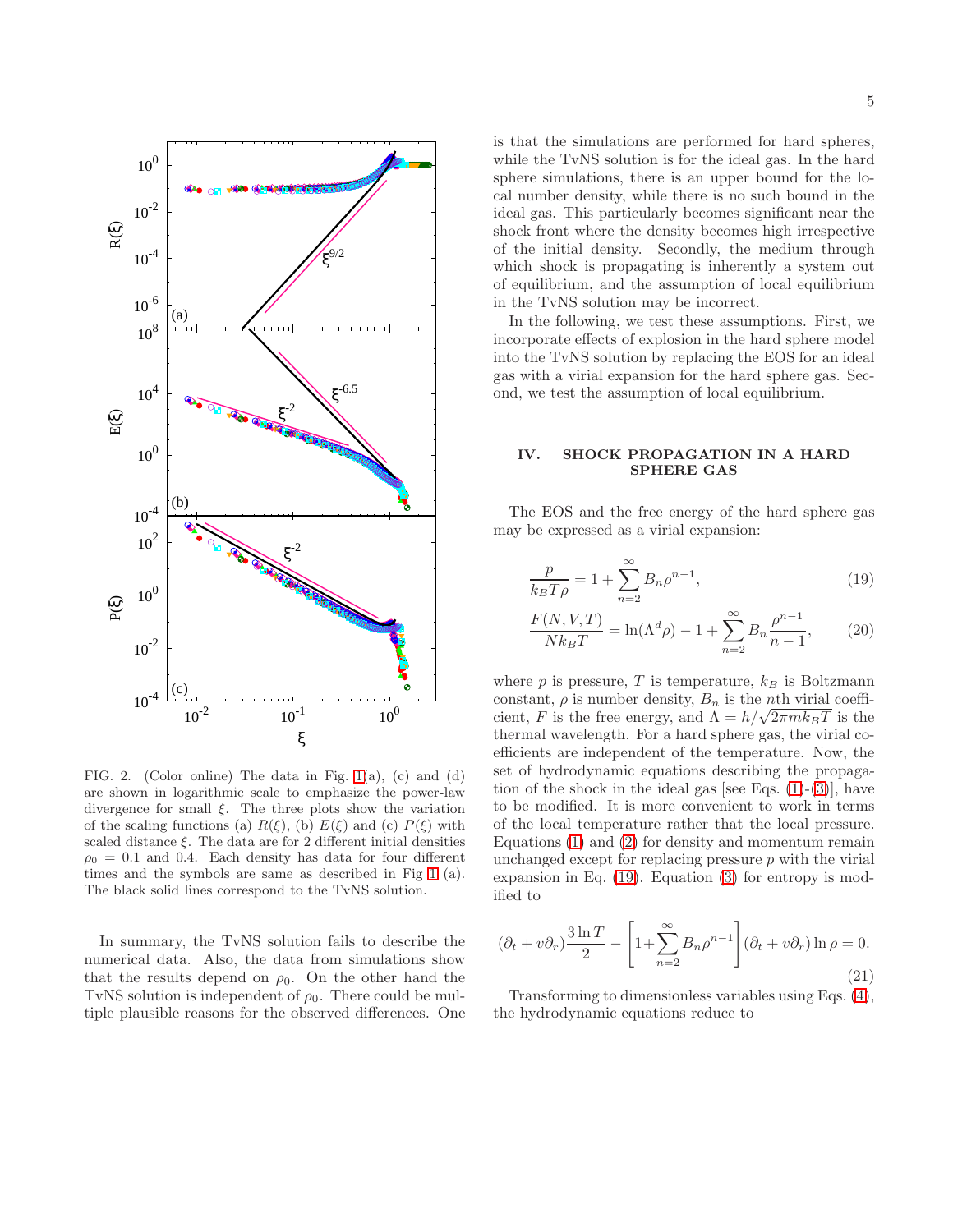

<span id="page-4-1"></span>FIG. 2. (Color online) The data in Fig. [1\(](#page-3-0)a), (c) and (d) are shown in logarithmic scale to emphasize the power-law divergence for small  $\xi$ . The three plots show the variation of the scaling functions (a)  $R(\xi)$ , (b)  $E(\xi)$  and (c)  $P(\xi)$  with scaled distance  $\xi$ . The data are for 2 different initial densities  $\rho_0 = 0.1$  and 0.4. Each density has data for four different times and the symbols are same as described in Fig [1](#page-3-0) (a). The black solid lines correspond to the TvNS solution.

In summary, the TvNS solution fails to describe the numerical data. Also, the data from simulations show that the results depend on  $\rho_0$ . On the other hand the TvNS solution is independent of  $\rho_0$ . There could be multiple plausible reasons for the observed differences. One is that the simulations are performed for hard spheres, while the TvNS solution is for the ideal gas. In the hard sphere simulations, there is an upper bound for the local number density, while there is no such bound in the ideal gas. This particularly becomes significant near the shock front where the density becomes high irrespective of the initial density. Secondly, the medium through which shock is propagating is inherently a system out of equilibrium, and the assumption of local equilibrium in the TvNS solution may be incorrect.

In the following, we test these assumptions. First, we incorporate effects of explosion in the hard sphere model into the TvNS solution by replacing the EOS for an ideal gas with a virial expansion for the hard sphere gas. Second, we test the assumption of local equilibrium.

# <span id="page-4-0"></span>IV. SHOCK PROPAGATION IN A HARD SPHERE GAS

The EOS and the free energy of the hard sphere gas may be expressed as a virial expansion:

<span id="page-4-2"></span>
$$
\frac{p}{k_B T \rho} = 1 + \sum_{n=2}^{\infty} B_n \rho^{n-1},
$$
\n(19)

$$
\frac{F(N, V, T)}{N k_B T} = \ln(\Lambda^d \rho) - 1 + \sum_{n=2}^{\infty} B_n \frac{\rho^{n-1}}{n-1},
$$
 (20)

where  $p$  is pressure,  $T$  is temperature,  $k_B$  is Boltzmann constant,  $\rho$  is number density,  $B_n$  is the *n*th virial coefficient, F is the free energy, and  $\Lambda = h/\sqrt{2\pi mk_BT}$  is the thermal wavelength. For a hard sphere gas, the virial coefficients are independent of the temperature. Now, the set of hydrodynamic equations describing the propagation of the shock in the ideal gas [see Eqs.  $(1)-(3)$  $(1)-(3)$ ], have to be modified. It is more convenient to work in terms of the local temperature rather that the local pressure. Equations [\(1\)](#page-1-1) and [\(2\)](#page-1-3) for density and momentum remain unchanged except for replacing pressure  $p$  with the virial expansion in Eq. [\(19\)](#page-4-2). Equation [\(3\)](#page-1-2) for entropy is modified to

$$
(\partial_t + v\partial_r)\frac{3\ln T}{2} - \left[1 + \sum_{n=2}^{\infty} B_n \rho^{n-1}\right] (\partial_t + v\partial_r) \ln \rho = 0.
$$
\n(21)

Transforming to dimensionless variables using Eqs. [\(4\)](#page-2-7), the hydrodynamic equations reduce to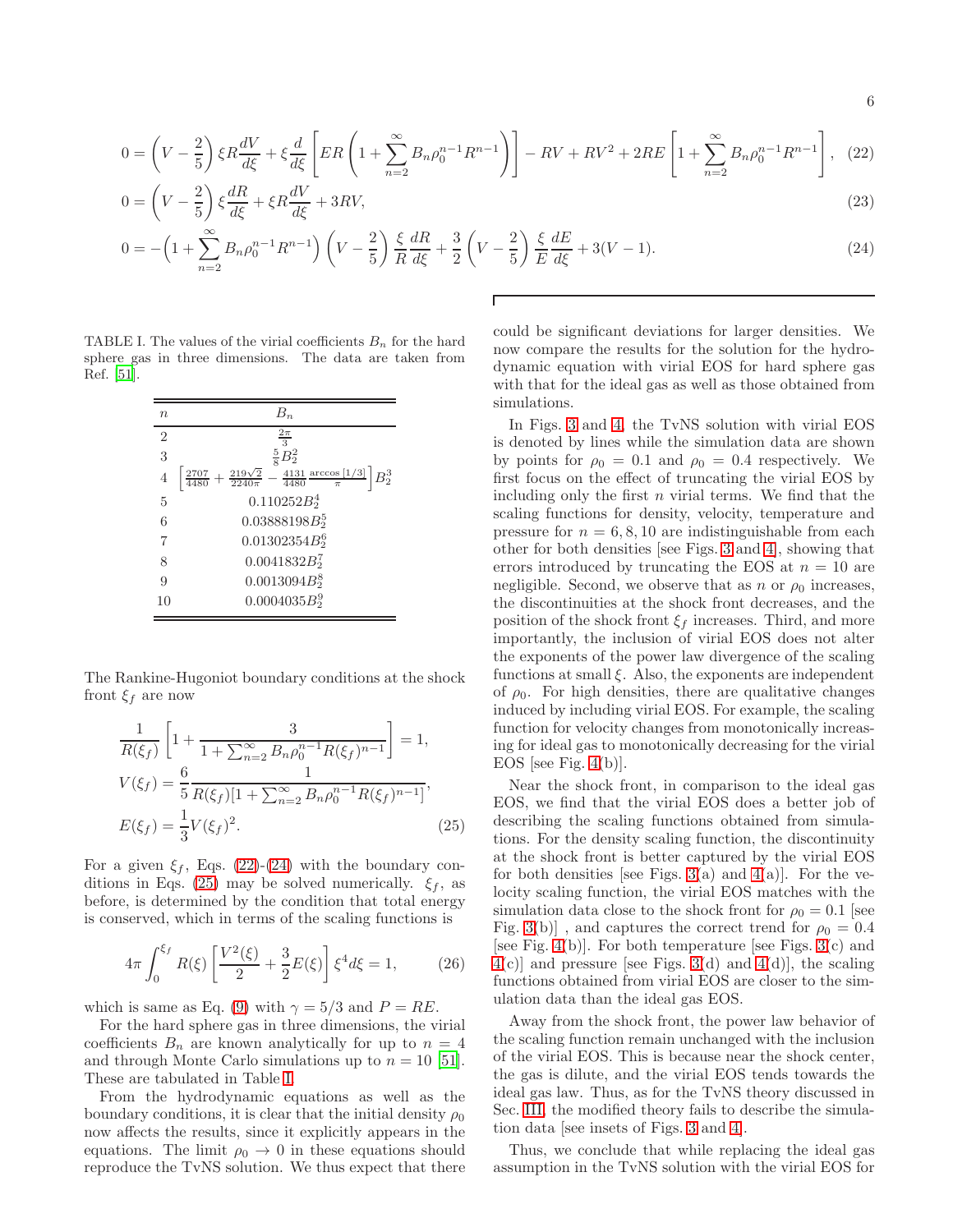<span id="page-5-0"></span>
$$
0 = \left(V - \frac{2}{5}\right)\xi R\frac{dV}{d\xi} + \xi\frac{d}{d\xi}\left[ER\left(1 + \sum_{n=2}^{\infty}B_n\rho_0^{n-1}R^{n-1}\right)\right] - RV + RV^2 + 2RE\left[1 + \sum_{n=2}^{\infty}B_n\rho_0^{n-1}R^{n-1}\right],
$$
 (22)

$$
0 = \left(V - \frac{2}{5}\right)\xi\frac{dR}{d\xi} + \xi R\frac{dV}{d\xi} + 3RV,\tag{23}
$$

$$
0 = -\left(1 + \sum_{n=2}^{\infty} B_n \rho_0^{n-1} R^{n-1}\right) \left(V - \frac{2}{5}\right) \frac{\xi}{R} \frac{dR}{d\xi} + \frac{3}{2} \left(V - \frac{2}{5}\right) \frac{\xi}{E} \frac{dE}{d\xi} + 3(V - 1). \tag{24}
$$

TABLE I. The values of the virial coefficients  $B_n$  for the hard sphere gas in three dimensions. The data are taken from Ref. [\[51](#page-11-26)].

<span id="page-5-2"></span>

| $\, n$         | $B_n$                                                                                                  |
|----------------|--------------------------------------------------------------------------------------------------------|
| $\overline{2}$ | $\frac{2\pi}{3}$                                                                                       |
| 3              | $\frac{5}{8}B_2^2$                                                                                     |
| $\overline{4}$ | $\frac{2707}{4480}+\frac{219\sqrt{2}}{2240\pi}-\frac{4131}{4480}\frac{\arccos{[1/3]}}{\pi}$<br>$B_2^3$ |
| 5              | $0.110252B_2^4$                                                                                        |
| 6              | $0.03888198B_2^5$                                                                                      |
|                | $0.01302354B_2^6$                                                                                      |
| 8              | $0.0041832B_2^7$                                                                                       |
| 9              | $0.0013094B_2^8$                                                                                       |
| 10             | $0.0004035B_2^9$                                                                                       |

The Rankine-Hugoniot boundary conditions at the shock front  $\xi_f$  are now

$$
\frac{1}{R(\xi_f)} \left[ 1 + \frac{3}{1 + \sum_{n=2}^{\infty} B_n \rho_0^{n-1} R(\xi_f)^{n-1}} \right] = 1,
$$
\n
$$
V(\xi_f) = \frac{6}{5} \frac{1}{R(\xi_f)[1 + \sum_{n=2}^{\infty} B_n \rho_0^{n-1} R(\xi_f)^{n-1}]},
$$
\n
$$
E(\xi_f) = \frac{1}{3} V(\xi_f)^2.
$$
\n(25)

For a given  $\xi_f$ , Eqs. [\(22\)](#page-5-0)-[\(24\)](#page-5-0) with the boundary con-ditions in Eqs. [\(25\)](#page-5-1) may be solved numerically.  $\xi_f$ , as before, is determined by the condition that total energy is conserved, which in terms of the scaling functions is

$$
4\pi \int_0^{\xi_f} R(\xi) \left[ \frac{V^2(\xi)}{2} + \frac{3}{2} E(\xi) \right] \xi^4 d\xi = 1, \quad (26)
$$

which is same as Eq. [\(9\)](#page-2-9) with  $\gamma = 5/3$  and  $P = RE$ .

For the hard sphere gas in three dimensions, the virial coefficients  $B_n$  are known analytically for up to  $n = 4$ and through Monte Carlo simulations up to  $n = 10$  [\[51\]](#page-11-26). These are tabulated in Table [I.](#page-5-2)

From the hydrodynamic equations as well as the boundary conditions, it is clear that the initial density  $\rho_0$ now affects the results, since it explicitly appears in the equations. The limit  $\rho_0 \rightarrow 0$  in these equations should reproduce the TvNS solution. We thus expect that there

could be significant deviations for larger densities. We now compare the results for the solution for the hydrodynamic equation with virial EOS for hard sphere gas with that for the ideal gas as well as those obtained from simulations.

In Figs. [3](#page-6-0) and [4,](#page-6-1) the TvNS solution with virial EOS is denoted by lines while the simulation data are shown by points for  $\rho_0 = 0.1$  and  $\rho_0 = 0.4$  respectively. We first focus on the effect of truncating the virial EOS by including only the first  $n$  virial terms. We find that the scaling functions for density, velocity, temperature and pressure for  $n = 6, 8, 10$  are indistinguishable from each other for both densities [see Figs. [3](#page-6-0) and [4\]](#page-6-1), showing that errors introduced by truncating the EOS at  $n = 10$  are negligible. Second, we observe that as n or  $\rho_0$  increases, the discontinuities at the shock front decreases, and the position of the shock front  $\xi_f$  increases. Third, and more importantly, the inclusion of virial EOS does not alter the exponents of the power law divergence of the scaling functions at small  $\xi$ . Also, the exponents are independent of  $\rho_0$ . For high densities, there are qualitative changes induced by including virial EOS. For example, the scaling function for velocity changes from monotonically increasing for ideal gas to monotonically decreasing for the virial EOS [see Fig.  $4(b)$ ].

<span id="page-5-1"></span>Near the shock front, in comparison to the ideal gas EOS, we find that the virial EOS does a better job of describing the scaling functions obtained from simulations. For the density scaling function, the discontinuity at the shock front is better captured by the virial EOS for both densities [see Figs. [3\(](#page-6-0)a) and  $4(a)$ ]. For the velocity scaling function, the virial EOS matches with the simulation data close to the shock front for  $\rho_0 = 0.1$  [see Fig. [3\(](#page-6-0)b)], and captures the correct trend for  $\rho_0 = 0.4$ [see Fig. [4\(](#page-6-1)b)]. For both temperature [see Figs.  $3(c)$  and  $4(c)$  $4(c)$ ] and pressure [see Figs. [3\(](#page-6-0)d) and  $4(d)$ ], the scaling functions obtained from virial EOS are closer to the simulation data than the ideal gas EOS.

Away from the shock front, the power law behavior of the scaling function remain unchanged with the inclusion of the virial EOS. This is because near the shock center, the gas is dilute, and the virial EOS tends towards the ideal gas law. Thus, as for the TvNS theory discussed in Sec. [III,](#page-2-0) the modified theory fails to describe the simulation data [see insets of Figs. [3](#page-6-0) and [4\]](#page-6-1).

Thus, we conclude that while replacing the ideal gas assumption in the TvNS solution with the virial EOS for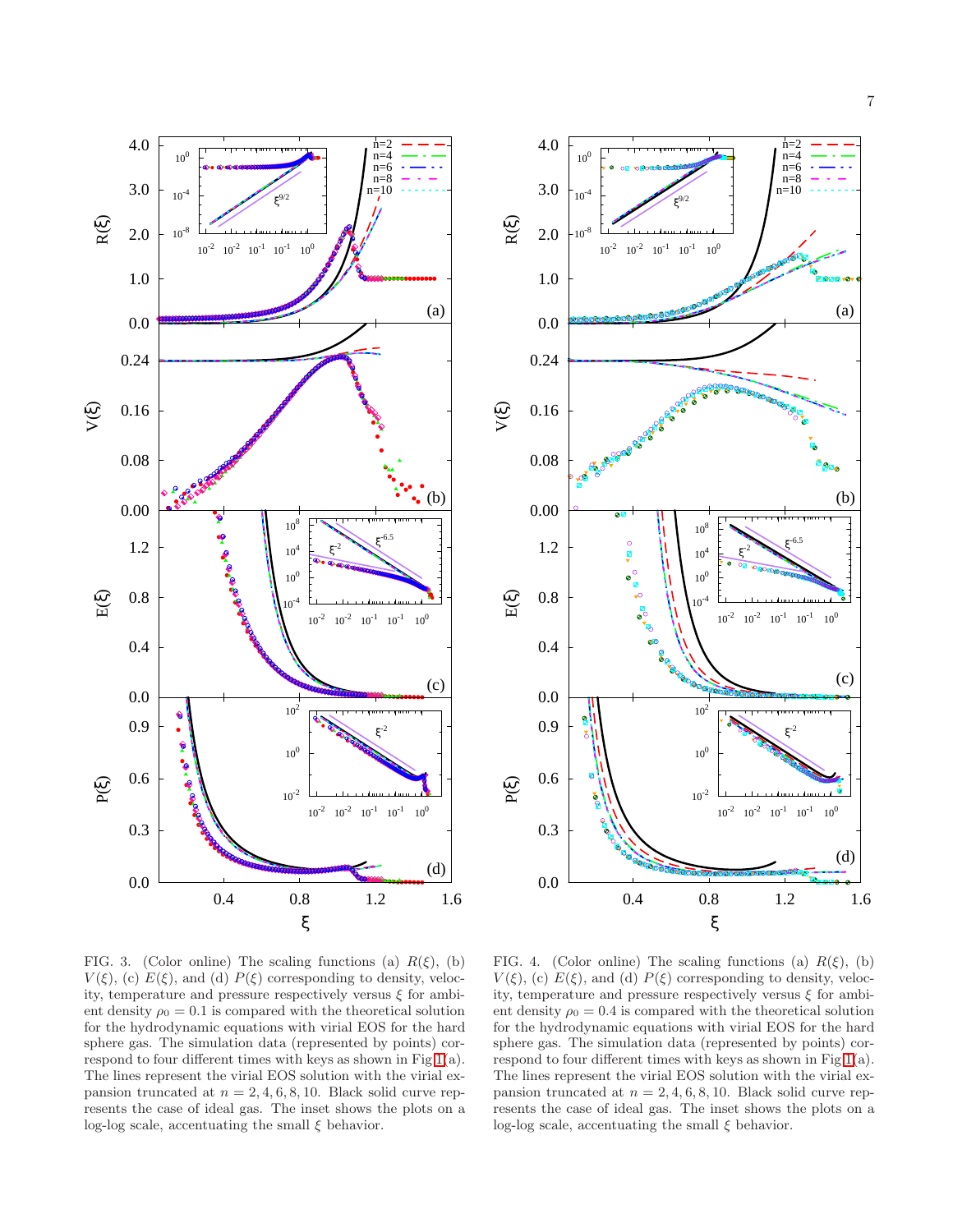



<span id="page-6-0"></span>FIG. 3. (Color online) The scaling functions (a)  $R(\xi)$ , (b)  $V(\xi)$ , (c)  $E(\xi)$ , and (d)  $P(\xi)$  corresponding to density, velocity, temperature and pressure respectively versus  $\xi$  for ambient density  $\rho_0 = 0.1$  is compared with the theoretical solution for the hydrodynamic equations with virial EOS for the hard sphere gas. The simulation data (represented by points) correspond to four different times with keys as shown in Fig [1\(](#page-3-0)a). The lines represent the virial EOS solution with the virial expansion truncated at  $n = 2, 4, 6, 8, 10$ . Black solid curve represents the case of ideal gas. The inset shows the plots on a log-log scale, accentuating the small  $\xi$  behavior.

<span id="page-6-1"></span>FIG. 4. (Color online) The scaling functions (a)  $R(\xi)$ , (b)  $V(\xi)$ , (c)  $E(\xi)$ , and (d)  $P(\xi)$  corresponding to density, velocity, temperature and pressure respectively versus  $\xi$  for ambient density  $\rho_0 = 0.4$  is compared with the theoretical solution for the hydrodynamic equations with virial EOS for the hard sphere gas. The simulation data (represented by points) correspond to four different times with keys as shown in Fig [1\(](#page-3-0)a). The lines represent the virial EOS solution with the virial expansion truncated at  $n = 2, 4, 6, 8, 10$ . Black solid curve represents the case of ideal gas. The inset shows the plots on a log-log scale, accentuating the small  $\xi$  behavior.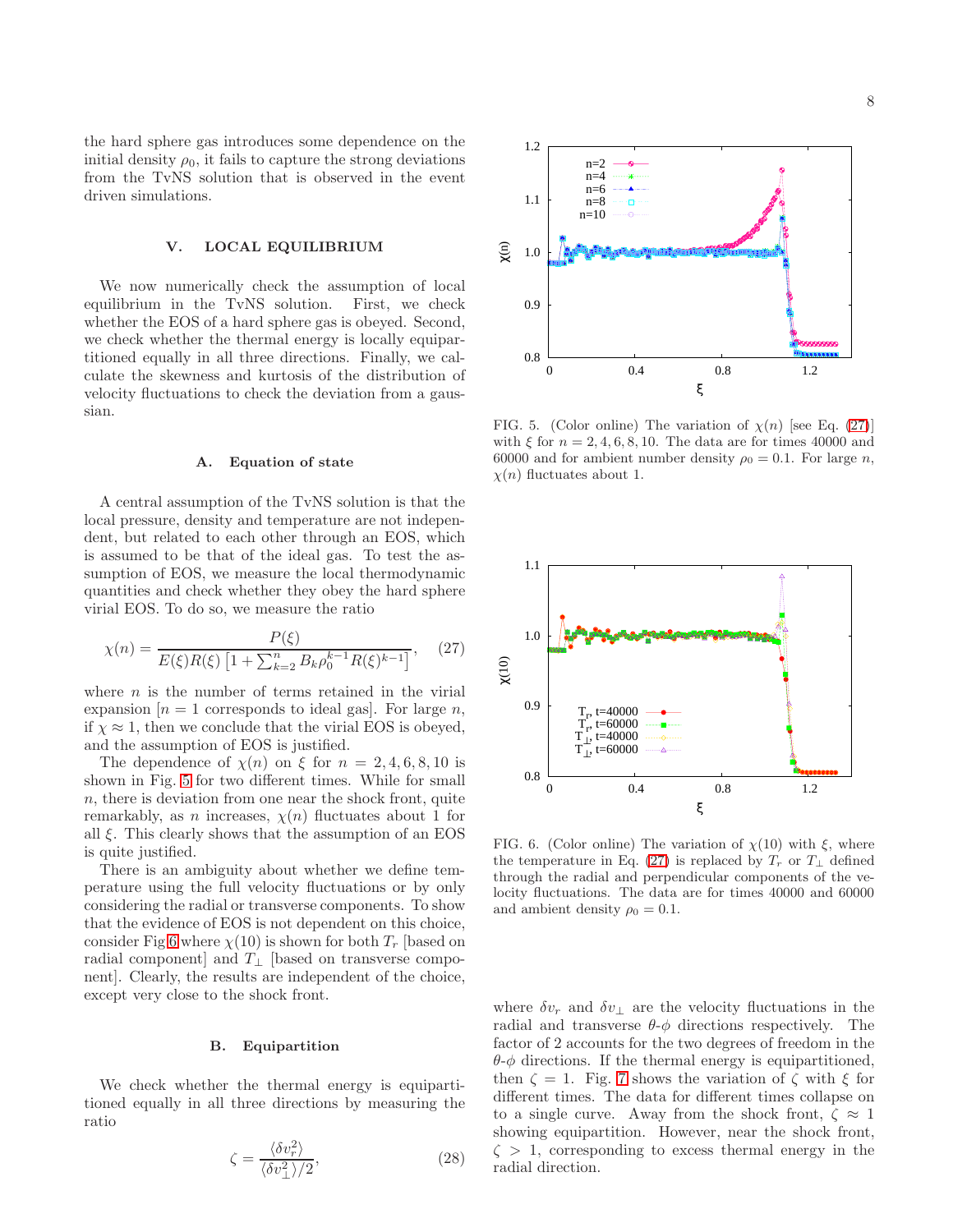the hard sphere gas introduces some dependence on the initial density  $\rho_0$ , it fails to capture the strong deviations from the TvNS solution that is observed in the event driven simulations.

# <span id="page-7-0"></span>V. LOCAL EQUILIBRIUM

We now numerically check the assumption of local equilibrium in the TvNS solution. First, we check whether the EOS of a hard sphere gas is obeyed. Second, we check whether the thermal energy is locally equipartitioned equally in all three directions. Finally, we calculate the skewness and kurtosis of the distribution of velocity fluctuations to check the deviation from a gaussian.

#### A. Equation of state

A central assumption of the TvNS solution is that the local pressure, density and temperature are not independent, but related to each other through an EOS, which is assumed to be that of the ideal gas. To test the assumption of EOS, we measure the local thermodynamic quantities and check whether they obey the hard sphere virial EOS. To do so, we measure the ratio

<span id="page-7-3"></span>
$$
\chi(n) = \frac{P(\xi)}{E(\xi)R(\xi)\left[1 + \sum_{k=2}^{n} B_k \rho_0^{k-1} R(\xi)^{k-1}\right]},\tag{27}
$$

where  $n$  is the number of terms retained in the virial expansion  $[n = 1$  corresponds to ideal gas]. For large n, if  $\chi \approx 1$ , then we conclude that the virial EOS is obeyed, and the assumption of EOS is justified.

The dependence of  $\chi(n)$  on  $\xi$  for  $n = 2, 4, 6, 8, 10$  is shown in Fig. [5](#page-7-1) for two different times. While for small n, there is deviation from one near the shock front, quite remarkably, as n increases,  $\chi(n)$  fluctuates about 1 for all  $\xi$ . This clearly shows that the assumption of an EOS is quite justified.

There is an ambiguity about whether we define temperature using the full velocity fluctuations or by only considering the radial or transverse components. To show that the evidence of EOS is not dependent on this choice, consider Fig [6](#page-7-2) where  $\chi(10)$  is shown for both  $T_r$  [based on radial component] and  $T_{\perp}$  [based on transverse component]. Clearly, the results are independent of the choice, except very close to the shock front.

### B. Equipartition

We check whether the thermal energy is equipartitioned equally in all three directions by measuring the ratio

<span id="page-7-4"></span>
$$
\zeta = \frac{\langle \delta v_r^2 \rangle}{\langle \delta v_\perp^2 \rangle / 2},\tag{28}
$$



<span id="page-7-1"></span>FIG. 5. (Color online) The variation of  $\chi(n)$  [see Eq. [\(27\)](#page-7-3)] with  $\xi$  for  $n = 2, 4, 6, 8, 10$ . The data are for times 40000 and 60000 and for ambient number density  $\rho_0 = 0.1$ . For large n,  $\chi(n)$  fluctuates about 1.



<span id="page-7-2"></span>FIG. 6. (Color online) The variation of  $\chi(10)$  with  $\xi$ , where the temperature in Eq. [\(27\)](#page-7-3) is replaced by  $T_r$  or  $T_{\perp}$  defined through the radial and perpendicular components of the velocity fluctuations. The data are for times 40000 and 60000 and ambient density  $\rho_0 = 0.1$ .

where  $\delta v_r$  and  $\delta v_{\perp}$  are the velocity fluctuations in the radial and transverse  $\theta$ - $\phi$  directions respectively. The factor of 2 accounts for the two degrees of freedom in the  $\theta$ - $\phi$  directions. If the thermal energy is equipartitioned, then  $\zeta = 1$ . Fig. [7](#page-8-1) shows the variation of  $\zeta$  with  $\xi$  for different times. The data for different times collapse on to a single curve. Away from the shock front,  $\zeta \approx 1$ showing equipartition. However, near the shock front,  $\zeta > 1$ , corresponding to excess thermal energy in the radial direction.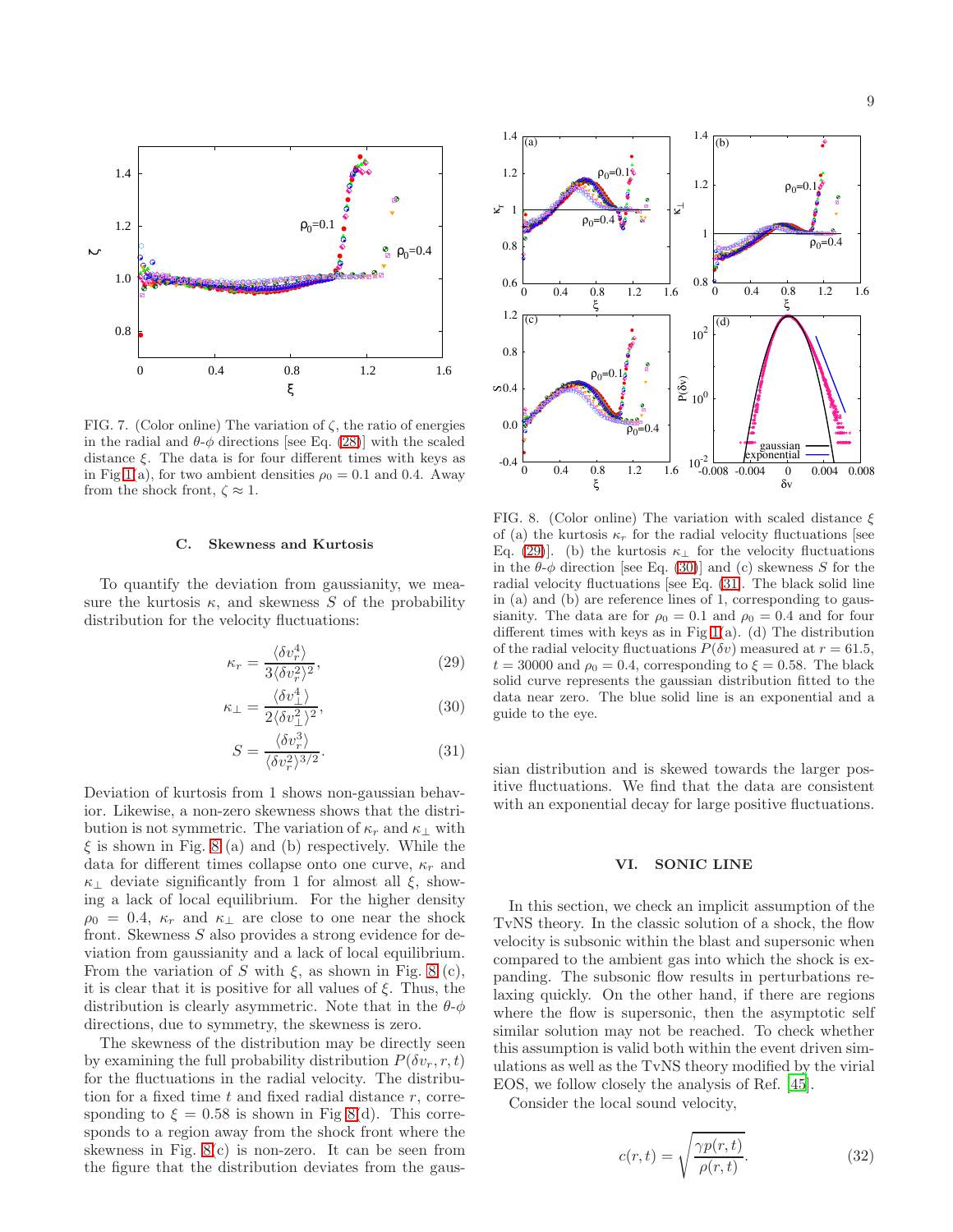

<span id="page-8-1"></span>FIG. 7. (Color online) The variation of  $\zeta$ , the ratio of energies in the radial and  $\theta$ - $\phi$  directions [see Eq. [\(28\)](#page-7-4)] with the scaled distance  $\xi$ . The data is for four different times with keys as in Fig [1\(](#page-3-0)a), for two ambient densities  $\rho_0 = 0.1$  and 0.4. Away from the shock front,  $\zeta \approx 1$ .

#### C. Skewness and Kurtosis

To quantify the deviation from gaussianity, we measure the kurtosis  $\kappa$ , and skewness S of the probability distribution for the velocity fluctuations:

<span id="page-8-3"></span>
$$
\kappa_r = \frac{\langle \delta v_r^4 \rangle}{3 \langle \delta v_r^2 \rangle^2},\tag{29}
$$

$$
\kappa_{\perp} = \frac{\langle \delta v_{\perp}^4 \rangle}{2 \langle \delta v_{\perp}^2 \rangle^2},\tag{30}
$$

$$
S = \frac{\langle \delta v_r^3 \rangle}{\langle \delta v_r^2 \rangle^{3/2}}.
$$
\n(31)

Deviation of kurtosis from 1 shows non-gaussian behavior. Likewise, a non-zero skewness shows that the distribution is not symmetric. The variation of  $\kappa_r$  and  $\kappa_\perp$  with  $\xi$  is shown in Fig. [8](#page-8-2) (a) and (b) respectively. While the data for different times collapse onto one curve,  $\kappa_r$  and  $\kappa_{\perp}$  deviate significantly from 1 for almost all  $\xi$ , showing a lack of local equilibrium. For the higher density  $\rho_0 = 0.4$ ,  $\kappa_r$  and  $\kappa_{\perp}$  are close to one near the shock front. Skewness S also provides a strong evidence for deviation from gaussianity and a lack of local equilibrium. From the variation of S with  $\xi$ , as shown in Fig. [8](#page-8-2) (c), it is clear that it is positive for all values of  $\xi$ . Thus, the distribution is clearly asymmetric. Note that in the  $\theta$ - $\phi$ directions, due to symmetry, the skewness is zero.

The skewness of the distribution may be directly seen by examining the full probability distribution  $P(\delta v_r, r, t)$ for the fluctuations in the radial velocity. The distribution for a fixed time  $t$  and fixed radial distance  $r$ , corresponding to  $\xi = 0.58$  is shown in Fig [8\(](#page-8-2)d). This corresponds to a region away from the shock front where the skewness in Fig.  $8(c)$  is non-zero. It can be seen from the figure that the distribution deviates from the gaus-



<span id="page-8-2"></span>FIG. 8. (Color online) The variation with scaled distance  $\xi$ of (a) the kurtosis  $\kappa_r$  for the radial velocity fluctuations [see Eq. [\(29\)](#page-8-3)]. (b) the kurtosis  $\kappa_{\perp}$  for the velocity fluctuations in the  $\theta$ - $\phi$  direction [see Eq. [\(30\)](#page-8-3)] and (c) skewness S for the radial velocity fluctuations [see Eq. [\(31\]](#page-8-3). The black solid line in (a) and (b) are reference lines of 1, corresponding to gaussianity. The data are for  $\rho_0 = 0.1$  and  $\rho_0 = 0.4$  and for four different times with keys as in Fig  $1(a)$ . (d) The distribution of the radial velocity fluctuations  $P(\delta v)$  measured at  $r = 61.5$ ,  $t = 30000$  and  $\rho_0 = 0.4$ , corresponding to  $\xi = 0.58$ . The black solid curve represents the gaussian distribution fitted to the data near zero. The blue solid line is an exponential and a guide to the eye.

sian distribution and is skewed towards the larger positive fluctuations. We find that the data are consistent with an exponential decay for large positive fluctuations.

### <span id="page-8-0"></span>VI. SONIC LINE

In this section, we check an implicit assumption of the TvNS theory. In the classic solution of a shock, the flow velocity is subsonic within the blast and supersonic when compared to the ambient gas into which the shock is expanding. The subsonic flow results in perturbations relaxing quickly. On the other hand, if there are regions where the flow is supersonic, then the asymptotic self similar solution may not be reached. To check whether this assumption is valid both within the event driven simulations as well as the TvNS theory modified by the virial EOS, we follow closely the analysis of Ref. [\[45](#page-11-18)].

Consider the local sound velocity,

$$
c(r,t) = \sqrt{\frac{\gamma p(r,t)}{\rho(r,t)}}.\t(32)
$$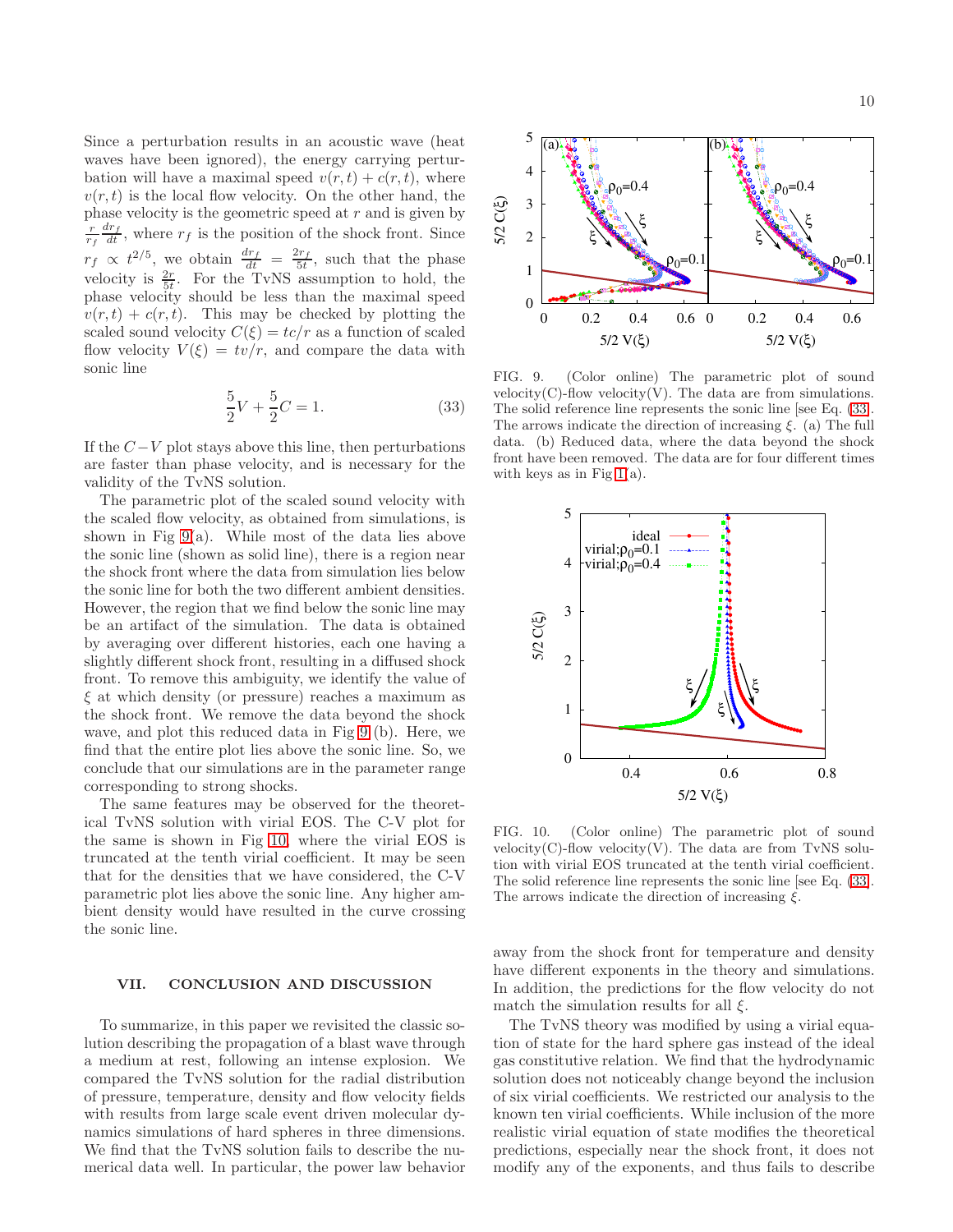Since a perturbation results in an acoustic wave (heat waves have been ignored), the energy carrying perturbation will have a maximal speed  $v(r, t) + c(r, t)$ , where  $v(r, t)$  is the local flow velocity. On the other hand, the phase velocity is the geometric speed at  $r$  and is given by  $\frac{r}{r_f}$  $\frac{dr_f}{dt}$ , where  $r_f$  is the position of the shock front. Since  $r_f \propto t^{2/5}$ , we obtain  $\frac{dr_f}{dt} = \frac{2r_f}{5t}$  $\frac{sr_f}{5t}$ , such that the phase velocity is  $\frac{2r}{5t}$ . For the TvNS assumption to hold, the phase velocity should be less than the maximal speed  $v(r, t) + c(r, t)$ . This may be checked by plotting the scaled sound velocity  $C(\xi) = tc/r$  as a function of scaled flow velocity  $V(\xi) = tv/r$ , and compare the data with sonic line

<span id="page-9-3"></span>
$$
\frac{5}{2}V + \frac{5}{2}C = 1.
$$
 (33)

If the  $C-V$  plot stays above this line, then perturbations are faster than phase velocity, and is necessary for the validity of the TvNS solution.

The parametric plot of the scaled sound velocity with the scaled flow velocity, as obtained from simulations, is shown in Fig  $9(a)$ . While most of the data lies above the sonic line (shown as solid line), there is a region near the shock front where the data from simulation lies below the sonic line for both the two different ambient densities. However, the region that we find below the sonic line may be an artifact of the simulation. The data is obtained by averaging over different histories, each one having a slightly different shock front, resulting in a diffused shock front. To remove this ambiguity, we identify the value of  $\xi$  at which density (or pressure) reaches a maximum as the shock front. We remove the data beyond the shock wave, and plot this reduced data in Fig [9](#page-9-1) (b). Here, we find that the entire plot lies above the sonic line. So, we conclude that our simulations are in the parameter range corresponding to strong shocks.

The same features may be observed for the theoretical TvNS solution with virial EOS. The C-V plot for the same is shown in Fig [10,](#page-9-2) where the virial EOS is truncated at the tenth virial coefficient. It may be seen that for the densities that we have considered, the C-V parametric plot lies above the sonic line. Any higher ambient density would have resulted in the curve crossing the sonic line.

# <span id="page-9-0"></span>VII. CONCLUSION AND DISCUSSION

To summarize, in this paper we revisited the classic solution describing the propagation of a blast wave through a medium at rest, following an intense explosion. We compared the TvNS solution for the radial distribution of pressure, temperature, density and flow velocity fields with results from large scale event driven molecular dynamics simulations of hard spheres in three dimensions. We find that the TvNS solution fails to describe the numerical data well. In particular, the power law behavior



ξ

0 0.2 0.4 0.6 5/2 V(ξ)

ξ

 $\mathbf{\rho}_0$  $=0.1$ 

FIG. 9. (Color online) The parametric plot of sound velocity(C)-flow velocity(V). The data are from simulations. The solid reference line represents the sonic line [see Eq. [\(33\]](#page-9-3). The arrows indicate the direction of increasing  $\xi$ . (a) The full data. (b) Reduced data, where the data beyond the shock front have been removed. The data are for four different times with keys as in Fig  $1(a)$ .

 $\mathbf{p}_0$  $=0.$ 

0 0.2 0.4 0.6

 $\rho_0$  $=0.4$ 

ξ

ξ

<span id="page-9-1"></span>5/2 V(ξ)

 $\overline{0}$ 

1

2

3

5/2 C(ξ)

4

5

(a)



<span id="page-9-2"></span>FIG. 10. (Color online) The parametric plot of sound  $velocity(C)$ -flow velocity(V). The data are from TvNS solution with virial EOS truncated at the tenth virial coefficient. The solid reference line represents the sonic line [see Eq. [\(33\]](#page-9-3). The arrows indicate the direction of increasing  $\xi$ .

away from the shock front for temperature and density have different exponents in the theory and simulations. In addition, the predictions for the flow velocity do not match the simulation results for all  $\xi$ .

The TvNS theory was modified by using a virial equation of state for the hard sphere gas instead of the ideal gas constitutive relation. We find that the hydrodynamic solution does not noticeably change beyond the inclusion of six virial coefficients. We restricted our analysis to the known ten virial coefficients. While inclusion of the more realistic virial equation of state modifies the theoretical predictions, especially near the shock front, it does not modify any of the exponents, and thus fails to describe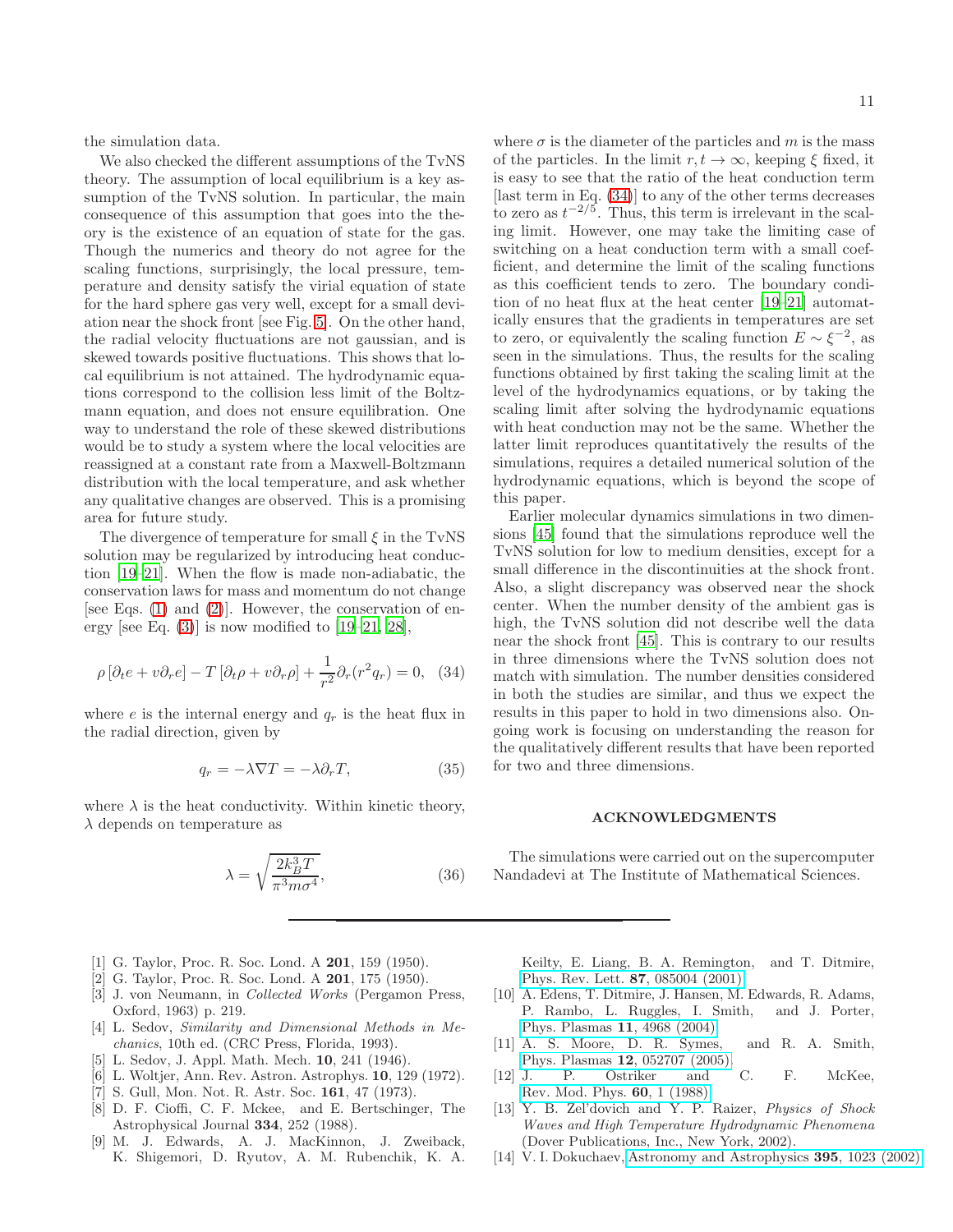the simulation data.

We also checked the different assumptions of the TvNS theory. The assumption of local equilibrium is a key assumption of the TvNS solution. In particular, the main consequence of this assumption that goes into the theory is the existence of an equation of state for the gas. Though the numerics and theory do not agree for the scaling functions, surprisingly, the local pressure, temperature and density satisfy the virial equation of state for the hard sphere gas very well, except for a small deviation near the shock front [see Fig. [5\]](#page-7-1). On the other hand, the radial velocity fluctuations are not gaussian, and is skewed towards positive fluctuations. This shows that local equilibrium is not attained. The hydrodynamic equations correspond to the collision less limit of the Boltzmann equation, and does not ensure equilibration. One way to understand the role of these skewed distributions would be to study a system where the local velocities are reassigned at a constant rate from a Maxwell-Boltzmann distribution with the local temperature, and ask whether any qualitative changes are observed. This is a promising area for future study.

The divergence of temperature for small  $\xi$  in the TvNS solution may be regularized by introducing heat conduction [\[19](#page-11-4)[–21\]](#page-11-5). When the flow is made non-adiabatic, the conservation laws for mass and momentum do not change [see Eqs.  $(1)$  and  $(2)$ ]. However, the conservation of energy [see Eq.  $(3)$ ] is now modified to [\[19](#page-11-4)[–21,](#page-11-5) [28](#page-11-21)],

<span id="page-10-13"></span>
$$
\rho \left[\partial_t e + v \partial_r e\right] - T \left[\partial_t \rho + v \partial_r \rho\right] + \frac{1}{r^2} \partial_r (r^2 q_r) = 0, \quad (34)
$$

where  $e$  is the internal energy and  $q_r$  is the heat flux in the radial direction, given by

$$
q_r = -\lambda \nabla T = -\lambda \partial_r T,\tag{35}
$$

where  $\lambda$  is the heat conductivity. Within kinetic theory,  $\lambda$  depends on temperature as

$$
\lambda = \sqrt{\frac{2k_B^3 T}{\pi^3 m \sigma^4}},\tag{36}
$$

- <span id="page-10-0"></span>[1] G. Taylor, Proc. R. Soc. Lond. A 201, 159 (1950).
- <span id="page-10-2"></span>[2] G. Taylor, Proc. R. Soc. Lond. A 201, 175 (1950).
- <span id="page-10-12"></span>[3] J. von Neumann, in Collected Works (Pergamon Press, Oxford, 1963) p. 219.
- <span id="page-10-3"></span>[4] L. Sedov, Similarity and Dimensional Methods in Mechanics, 10th ed. (CRC Press, Florida, 1993).
- <span id="page-10-1"></span>L. Sedov, J. Appl. Math. Mech. **10**, 241 (1946).
- <span id="page-10-4"></span>[6] L. Woltjer, Ann. Rev. Astron. Astrophys. 10, 129 (1972).
- [7] S. Gull, Mon. Not. R. Astr. Soc. 161, 47 (1973).
- <span id="page-10-5"></span>[8] D. F. Cioffi, C. F. Mckee, and E. Bertschinger, The Astrophysical Journal 334, 252 (1988).
- <span id="page-10-6"></span>[9] M. J. Edwards, A. J. MacKinnon, J. Zweiback, K. Shigemori, D. Ryutov, A. M. Rubenchik, K. A.

where  $\sigma$  is the diameter of the particles and m is the mass of the particles. In the limit  $r, t \to \infty$ , keeping  $\xi$  fixed, it is easy to see that the ratio of the heat conduction term [last term in Eq. [\(34\)](#page-10-13)] to any of the other terms decreases to zero as  $t^{-2/5}$ . Thus, this term is irrelevant in the scaling limit. However, one may take the limiting case of switching on a heat conduction term with a small coefficient, and determine the limit of the scaling functions as this coefficient tends to zero. The boundary condition of no heat flux at the heat center [\[19](#page-11-4)[–21\]](#page-11-5) automatically ensures that the gradients in temperatures are set to zero, or equivalently the scaling function  $E \sim \xi^{-2}$ , as seen in the simulations. Thus, the results for the scaling functions obtained by first taking the scaling limit at the level of the hydrodynamics equations, or by taking the scaling limit after solving the hydrodynamic equations with heat conduction may not be the same. Whether the latter limit reproduces quantitatively the results of the simulations, requires a detailed numerical solution of the hydrodynamic equations, which is beyond the scope of this paper.

Earlier molecular dynamics simulations in two dimensions [\[45\]](#page-11-18) found that the simulations reproduce well the TvNS solution for low to medium densities, except for a small difference in the discontinuities at the shock front. Also, a slight discrepancy was observed near the shock center. When the number density of the ambient gas is high, the TvNS solution did not describe well the data near the shock front [\[45\]](#page-11-18). This is contrary to our results in three dimensions where the TvNS solution does not match with simulation. The number densities considered in both the studies are similar, and thus we expect the results in this paper to hold in two dimensions also. Ongoing work is focusing on understanding the reason for the qualitatively different results that have been reported for two and three dimensions.

#### ACKNOWLEDGMENTS

The simulations were carried out on the supercomputer Nandadevi at The Institute of Mathematical Sciences.

Keilty, E. Liang, B. A. Remington, and T. Ditmire, [Phys. Rev. Lett.](http://dx.doi.org/ 10.1103/PhysRevLett.87.085004) 87, 085004 (2001).

- <span id="page-10-7"></span>[10] A. Edens, T. Ditmire, J. Hansen, M. Edwards, R. Adams, P. Rambo, L. Ruggles, I. Smith, and J. Porter, [Phys. Plasmas](http://dx.doi.org/10.1063/1.1773553) 11, 4968 (2004).
- <span id="page-10-8"></span>[11] A. S. Moore, D. R. Symes, and R. A. Smith, Phys. Plasmas 12[, 052707 \(2005\).](http://dx.doi.org/10.1063/1.1909199)
- <span id="page-10-9"></span>[12] J. P. Ostriker and C. F. McKee, [Rev. Mod. Phys.](http://dx.doi.org/10.1103/RevModPhys.60.1) 60, 1 (1988).
- <span id="page-10-10"></span>[13] Y. B. Zel'dovich and Y. P. Raizer, *Physics of Shock* Waves and High Temperature Hydrodynamic Phenomena (Dover Publications, Inc., New York, 2002).
- <span id="page-10-11"></span>[14] V. I. Dokuchaev, [Astronomy and Astrophysics](http://dx.doi.org/10.1051/0004-6361:20021305) **395**, 1023 (2002).